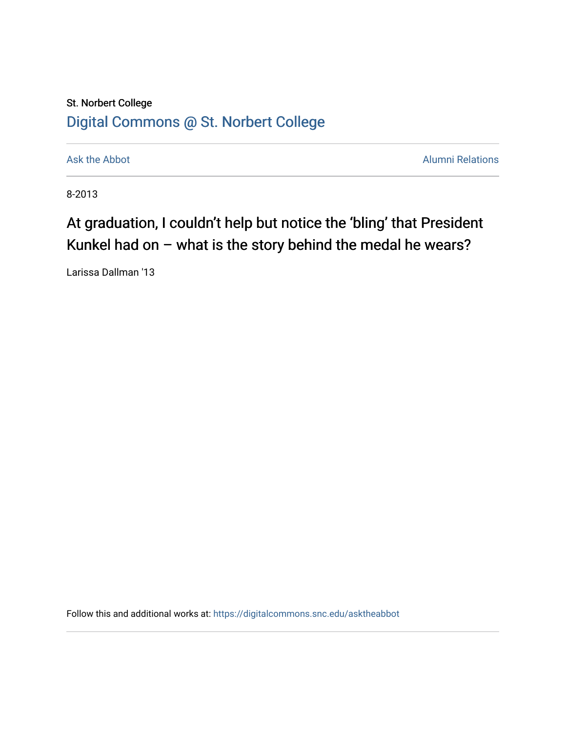## St. Norbert College [Digital Commons @ St. Norbert College](https://digitalcommons.snc.edu/)

[Ask the Abbot](https://digitalcommons.snc.edu/asktheabbot) **Alumni Relations** Ask the Abbot **Alumni Relations** 

8-2013

## At graduation, I couldn't help but notice the 'bling' that President Kunkel had on – what is the story behind the medal he wears?

Larissa Dallman '13

Follow this and additional works at: [https://digitalcommons.snc.edu/asktheabbot](https://digitalcommons.snc.edu/asktheabbot?utm_source=digitalcommons.snc.edu%2Fasktheabbot%2F93&utm_medium=PDF&utm_campaign=PDFCoverPages)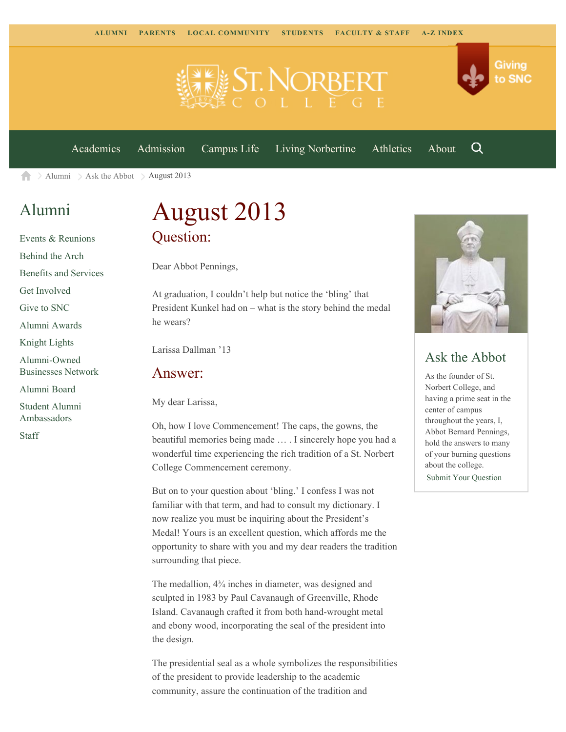

[Academics](https://www.snc.edu/academics) [Admission](https://www.snc.edu/admission) [Campus Life](https://www.snc.edu/campuslife) [Living Norbertine](https://www.snc.edu/livingnorbertine) [Athletics](https://www.snc.edu/athletics) [About](https://www.snc.edu/about)

Q

Giving

to SNC

[Alumni](https://www.snc.edu/alumni/)  $\geq$  [Ask the Abbot](https://www.snc.edu/alumni/abbot/)  $\geq$  August 2013 合

### [Alumni](https://www.snc.edu/alumni/index.html)

[Events & Reunions](https://www.snc.edu/alumni/event/index.html) [Behind the Arch](https://www.snc.edu/alumni/event/behindthearch/) [Benefits and Services](https://www.snc.edu/alumni/benefits.html) [Get Involved](https://www.snc.edu/alumni/getinvolved.html) [Give to SNC](http://giving.snc.edu/) [Alumni Awards](https://www.snc.edu/alumni/awards/index.html) [Knight Lights](https://www.snc.edu/alumni/knightlights/index.html) [Alumni-Owned](https://www.snc.edu/alumni/directory/index.html) [Businesses Network](https://www.snc.edu/alumni/directory/index.html) [Alumni Board](https://www.snc.edu/alumni/alumniboard.html) [Student Alumni](https://www.snc.edu/alumni/saa.html) [Ambassadors](https://www.snc.edu/alumni/saa.html) [Staff](https://www.snc.edu/alumni/contactus.html)

# August 2013 Question:

Dear Abbot Pennings,

At graduation, I couldn't help but notice the 'bling' that President Kunkel had on – what is the story behind the medal he wears?

Larissa Dallman '13

#### Answer:

My dear Larissa,

Oh, how I love Commencement! The caps, the gowns, the beautiful memories being made … . I sincerely hope you had a wonderful time experiencing the rich tradition of a St. Norbert College Commencement ceremony.

But on to your question about 'bling.' I confess I was not familiar with that term, and had to consult my dictionary. I now realize you must be inquiring about the President's Medal! Yours is an excellent question, which affords me the opportunity to share with you and my dear readers the tradition surrounding that piece.

The medallion, 4¾ inches in diameter, was designed and sculpted in 1983 by Paul Cavanaugh of Greenville, Rhode Island. Cavanaugh crafted it from both hand-wrought metal and ebony wood, incorporating the seal of the president into the design.

The presidential seal as a whole symbolizes the responsibilities of the president to provide leadership to the academic community, assure the continuation of the tradition and



#### Ask the Abbot

As the founder of St. Norbert College, and having a prime seat in the center of campus throughout the years, I, Abbot Bernard Pennings, hold the answers to many of your burning questions about the college. [Submit Your Question](https://www.snc.edu/alumni/abbot/index.html)